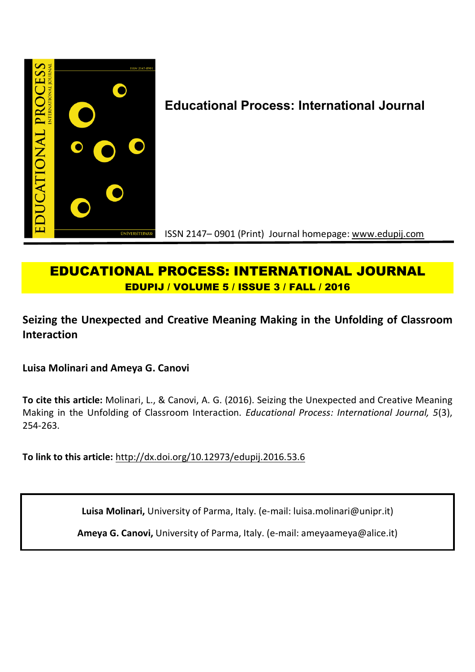

# **Educational Process: International Journal**

ISSN 2147– 0901 (Print) Journal homepage: www.edupij.com

## **EDUCATIONAL PROCESS: INTERNATIONAL JOURNAL EDUPIJ / VOLUME 5 / ISSUE 3 / FALL / 2016**

**Seizing the Unexpected and Creative Meaning Making in the Unfolding of Classroom Interaction**

**Luisa Molinari and Ameya G. Canovi**

**To cite this article:** Molinari, L., & Canovi, A. G. (2016). Seizing the Unexpected and Creative Meaning Making in the Unfolding of Classroom Interaction. *Educational Process: International Journal, 5*(3), 254-263.

**To link to this article:** http://dx.doi.org/10.12973/edupij.2016.53.6

**Luisa Molinari,** University of Parma, Italy. (e-mail: luisa.molinari@unipr.it)

**Ameya G. Canovi,** University of Parma, Italy. (e-mail: ameyaameya@alice.it)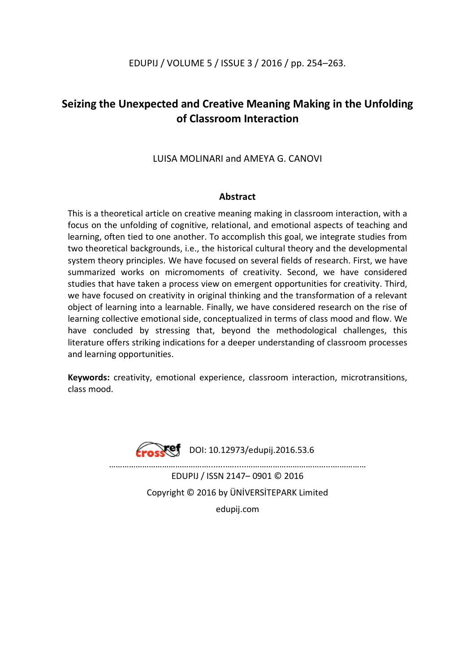## EDUPIJ / VOLUME 5 / ISSUE 3 / 2016 / pp. 254–263.

## **Seizing the Unexpected and Creative Meaning Making in the Unfolding of Classroom Interaction**

### LUISA MOLINARI and AMEYA G. CANOVI

### **Abstract**

This is a theoretical article on creative meaning making in classroom interaction, with a focus on the unfolding of cognitive, relational, and emotional aspects of teaching and learning, often tied to one another. To accomplish this goal, we integrate studies from two theoretical backgrounds, i.e., the historical cultural theory and the developmental system theory principles. We have focused on several fields of research. First, we have summarized works on micromoments of creativity. Second, we have considered studies that have taken a process view on emergent opportunities for creativity. Third, we have focused on creativity in original thinking and the transformation of a relevant object of learning into a learnable. Finally, we have considered research on the rise of learning collective emotional side, conceptualized in terms of class mood and flow. We have concluded by stressing that, beyond the methodological challenges, this literature offers striking indications for a deeper understanding of classroom processes and learning opportunities.

**Keywords:** creativity, emotional experience, classroom interaction, microtransitions, class mood.



 $Xef$  DOI: 10.12973/edupii.2016.53.6

………………………………………........….....………………………………...…………… EDUPIJ / ISSN 2147– 0901 © 2016 Copyright © 2016 by ÜNİVERSİTEPARK Limited edupij.com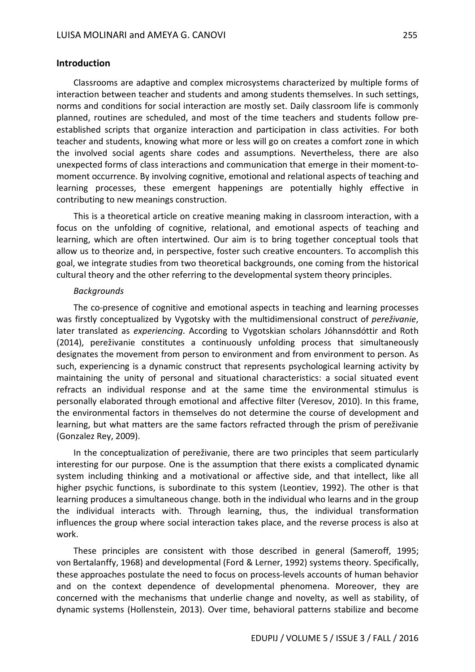#### **Introduction**

Classrooms are adaptive and complex microsystems characterized by multiple forms of interaction between teacher and students and among students themselves. In such settings, norms and conditions for social interaction are mostly set. Daily classroom life is commonly planned, routines are scheduled, and most of the time teachers and students follow preestablished scripts that organize interaction and participation in class activities. For both teacher and students, knowing what more or less will go on creates a comfort zone in which the involved social agents share codes and assumptions. Nevertheless, there are also unexpected forms of class interactions and communication that emerge in their moment-tomoment occurrence. By involving cognitive, emotional and relational aspects of teaching and learning processes, these emergent happenings are potentially highly effective in contributing to new meanings construction.

This is a theoretical article on creative meaning making in classroom interaction, with a focus on the unfolding of cognitive, relational, and emotional aspects of teaching and learning, which are often intertwined. Our aim is to bring together conceptual tools that allow us to theorize and, in perspective, foster such creative encounters. To accomplish this goal, we integrate studies from two theoretical backgrounds, one coming from the historical cultural theory and the other referring to the developmental system theory principles.

#### *Backgrounds*

The co-presence of cognitive and emotional aspects in teaching and learning processes was firstly conceptualized by Vygotsky with the multidimensional construct of *pereživanie*, later translated as *experiencing*. According to Vygotskian scholars Jóhannsdóttir and Roth (2014), pereživanie constitutes a continuously unfolding process that simultaneously designates the movement from person to environment and from environment to person. As such, experiencing is a dynamic construct that represents psychological learning activity by maintaining the unity of personal and situational characteristics: a social situated event refracts an individual response and at the same time the environmental stimulus is personally elaborated through emotional and affective filter (Veresov, 2010). In this frame, the environmental factors in themselves do not determine the course of development and learning, but what matters are the same factors refracted through the prism of pereživanie (Gonzalez Rey, 2009).

In the conceptualization of pereživanie, there are two principles that seem particularly interesting for our purpose. One is the assumption that there exists a complicated dynamic system including thinking and a motivational or affective side, and that intellect, like all higher psychic functions, is subordinate to this system (Leontiev, 1992). The other is that learning produces a simultaneous change. both in the individual who learns and in the group the individual interacts with. Through learning, thus, the individual transformation influences the group where social interaction takes place, and the reverse process is also at work.

These principles are consistent with those described in general (Sameroff, 1995; von Bertalanffy, 1968) and developmental (Ford & Lerner, 1992) systems theory. Specifically, these approaches postulate the need to focus on process-levels accounts of human behavior and on the context dependence of developmental phenomena. Moreover, they are concerned with the mechanisms that underlie change and novelty, as well as stability, of dynamic systems (Hollenstein, 2013). Over time, behavioral patterns stabilize and become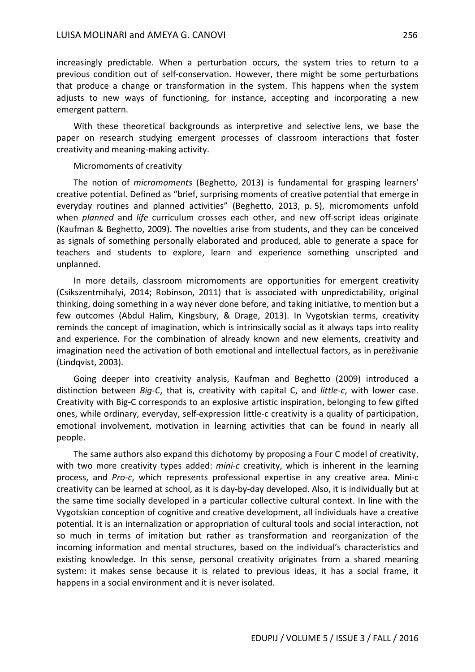increasingly predictable. When a perturbation occurs, the system tries to return to a previous condition out of self-conservation. However, there might be some perturbations that produce a change or transformation in the system. This happens when the system adjusts to new ways of functioning, for instance, accepting and incorporating a new emergent pattern.

With these theoretical backgrounds as interpretive and selective lens, we base the paper on research studying emergent processes of classroom interactions that foster creativity and meaning-making activity.

#### Micromoments of creativity

The notion of *micromoments* (Beghetto, 2013) is fundamental for grasping learners' creative potential. Defined as "brief, surprising moments of creative potential that emerge in everyday routines and planned activities" (Beghetto, 2013, p. 5), micromoments unfold when *planned* and *life* curriculum crosses each other, and new off-script ideas originate (Kaufman & Beghetto, 2009). The novelties arise from students, and they can be conceived as signals of something personally elaborated and produced, able to generate a space for teachers and students to explore, learn and experience something unscripted and unplanned.

In more details, classroom micromoments are opportunities for emergent creativity (Csikszentmihalyi, 2014; Robinson, 2011) that is associated with unpredictability, original thinking, doing something in a way never done before, and taking initiative, to mention but a few outcomes (Abdul Halim, Kingsbury, & Drage, 2013). In Vygotskian terms, creativity reminds the concept of imagination, which is intrinsically social as it always taps into reality and experience. For the combination of already known and new elements, creativity and imagination need the activation of both emotional and intellectual factors, as in pereživanie (Lindqvist, 2003).

Going deeper into creativity analysis, Kaufman and Beghetto (2009) introduced a distinction between *Big-C*, that is, creativity with capital C, and *little-c*, with lower case. Creativity with Big-C corresponds to an explosive artistic inspiration, belonging to few gifted ones, while ordinary, everyday, self-expression little-c creativity is a quality of participation, emotional involvement, motivation in learning activities that can be found in nearly all people.

The same authors also expand this dichotomy by proposing a Four C model of creativity, with two more creativity types added: *mini-c* creativity, which is inherent in the learning process, and *Pro-c*, which represents professional expertise in any creative area. Mini-c creativity can be learned at school, as it is day-by-day developed. Also, it is individually but at the same time socially developed in a particular collective cultural context. In line with the Vygotskian conception of cognitive and creative development, all individuals have a creative potential. It is an internalization or appropriation of cultural tools and social interaction, not so much in terms of imitation but rather as transformation and reorganization of the incoming information and mental structures, based on the individual's characteristics and existing knowledge. In this sense, personal creativity originates from a shared meaning system: it makes sense because it is related to previous ideas, it has a social frame, it happens in a social environment and it is never isolated.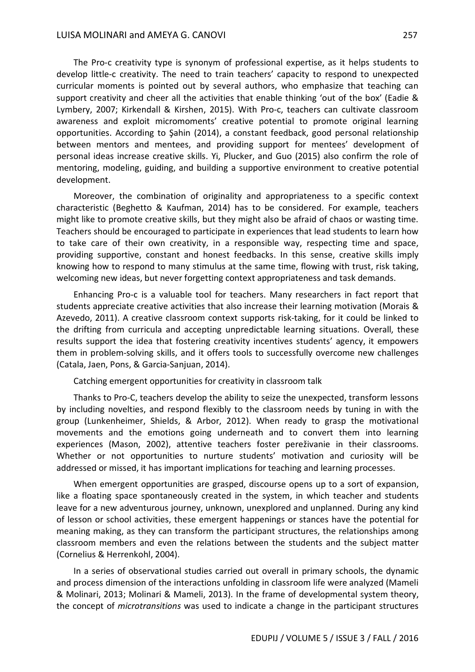The Pro-c creativity type is synonym of professional expertise, as it helps students to develop little-c creativity. The need to train teachers' capacity to respond to unexpected curricular moments is pointed out by several authors, who emphasize that teaching can support creativity and cheer all the activities that enable thinking 'out of the box' (Eadie & Lymbery, 2007; Kirkendall & Kirshen, 2015). With Pro-c, teachers can cultivate classroom awareness and exploit micromoments' creative potential to promote original learning opportunities. According to Şahin (2014), a constant feedback, good personal relationship between mentors and mentees, and providing support for mentees' development of personal ideas increase creative skills. Yi, Plucker, and Guo (2015) also confirm the role of mentoring, modeling, guiding, and building a supportive environment to creative potential development.

Moreover, the combination of originality and appropriateness to a specific context characteristic (Beghetto & Kaufman, 2014) has to be considered. For example, teachers might like to promote creative skills, but they might also be afraid of chaos or wasting time. Teachers should be encouraged to participate in experiences that lead students to learn how to take care of their own creativity, in a responsible way, respecting time and space, providing supportive, constant and honest feedbacks. In this sense, creative skills imply knowing how to respond to many stimulus at the same time, flowing with trust, risk taking, welcoming new ideas, but never forgetting context appropriateness and task demands.

Enhancing Pro-c is a valuable tool for teachers. Many researchers in fact report that students appreciate creative activities that also increase their learning motivation (Morais & Azevedo, 2011). A creative classroom context supports risk-taking, for it could be linked to the drifting from curricula and accepting unpredictable learning situations. Overall, these results support the idea that fostering creativity incentives students' agency, it empowers them in problem-solving skills, and it offers tools to successfully overcome new challenges (Catala, Jaen, Pons, & Garcia-Sanjuan, 2014).

Catching emergent opportunities for creativity in classroom talk

Thanks to Pro-C, teachers develop the ability to seize the unexpected, transform lessons by including novelties, and respond flexibly to the classroom needs by tuning in with the group (Lunkenheimer, Shields, & Arbor, 2012). When ready to grasp the motivational movements and the emotions going underneath and to convert them into learning experiences (Mason, 2002), attentive teachers foster pereživanie in their classrooms. Whether or not opportunities to nurture students' motivation and curiosity will be addressed or missed, it has important implications for teaching and learning processes.

When emergent opportunities are grasped, discourse opens up to a sort of expansion, like a floating space spontaneously created in the system, in which teacher and students leave for a new adventurous journey, unknown, unexplored and unplanned. During any kind of lesson or school activities, these emergent happenings or stances have the potential for meaning making, as they can transform the participant structures, the relationships among classroom members and even the relations between the students and the subject matter (Cornelius & Herrenkohl, 2004).

In a series of observational studies carried out overall in primary schools, the dynamic and process dimension of the interactions unfolding in classroom life were analyzed (Mameli & Molinari, 2013; Molinari & Mameli, 2013). In the frame of developmental system theory, the concept of *microtransitions* was used to indicate a change in the participant structures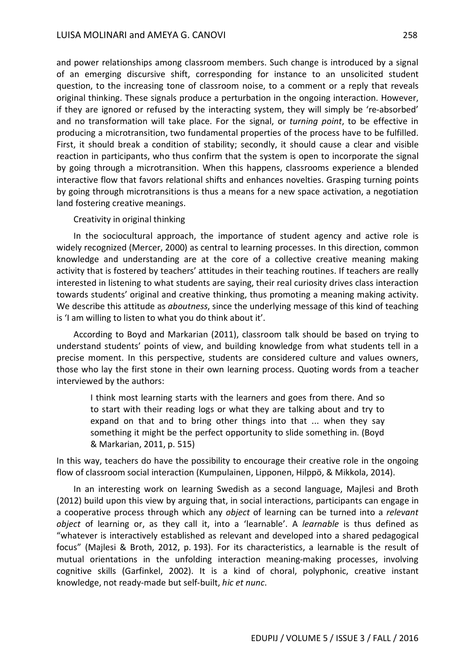and power relationships among classroom members. Such change is introduced by a signal of an emerging discursive shift, corresponding for instance to an unsolicited student question, to the increasing tone of classroom noise, to a comment or a reply that reveals original thinking. These signals produce a perturbation in the ongoing interaction. However, if they are ignored or refused by the interacting system, they will simply be 're-absorbed' and no transformation will take place. For the signal, or *turning point*, to be effective in producing a microtransition, two fundamental properties of the process have to be fulfilled. First, it should break a condition of stability; secondly, it should cause a clear and visible reaction in participants, who thus confirm that the system is open to incorporate the signal by going through a microtransition. When this happens, classrooms experience a blended interactive flow that favors relational shifts and enhances novelties. Grasping turning points by going through microtransitions is thus a means for a new space activation, a negotiation land fostering creative meanings.

#### Creativity in original thinking

In the sociocultural approach, the importance of student agency and active role is widely recognized (Mercer, 2000) as central to learning processes. In this direction, common knowledge and understanding are at the core of a collective creative meaning making activity that is fostered by teachers' attitudes in their teaching routines. If teachers are really interested in listening to what students are saying, their real curiosity drives class interaction towards students' original and creative thinking, thus promoting a meaning making activity. We describe this attitude as *aboutness*, since the underlying message of this kind of teaching is 'I am willing to listen to what you do think about it'.

According to Boyd and Markarian (2011), classroom talk should be based on trying to understand students' points of view, and building knowledge from what students tell in a precise moment. In this perspective, students are considered culture and values owners, those who lay the first stone in their own learning process. Quoting words from a teacher interviewed by the authors:

I think most learning starts with the learners and goes from there. And so to start with their reading logs or what they are talking about and try to expand on that and to bring other things into that ... when they say something it might be the perfect opportunity to slide something in. (Boyd & Markarian, 2011, p. 515)

In this way, teachers do have the possibility to encourage their creative role in the ongoing flow of classroom social interaction (Kumpulainen, Lipponen, Hilppö, & Mikkola, 2014).

In an interesting work on learning Swedish as a second language, Majlesi and Broth (2012) build upon this view by arguing that, in social interactions, participants can engage in a cooperative process through which any *object* of learning can be turned into a *relevant object* of learning or, as they call it, into a 'learnable'. A *learnable* is thus defined as "whatever is interactively established as relevant and developed into a shared pedagogical focus" (Majlesi & Broth, 2012, p. 193). For its characteristics, a learnable is the result of mutual orientations in the unfolding interaction meaning-making processes, involving cognitive skills (Garfinkel, 2002). It is a kind of choral, polyphonic, creative instant knowledge, not ready-made but self-built, *hic et nunc*.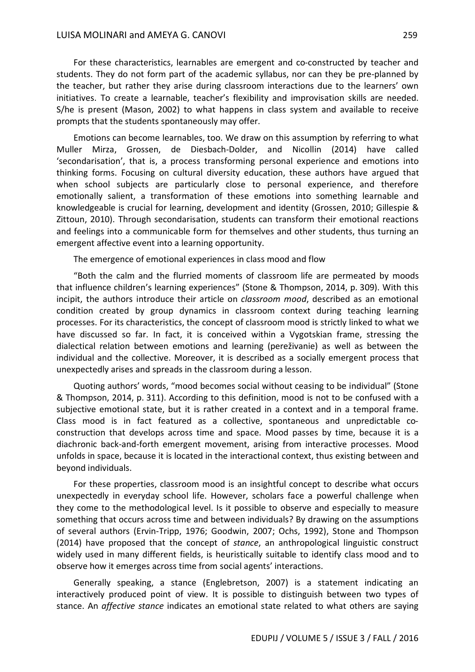For these characteristics, learnables are emergent and co-constructed by teacher and students. They do not form part of the academic syllabus, nor can they be pre-planned by the teacher, but rather they arise during classroom interactions due to the learners' own initiatives. To create a learnable, teacher's flexibility and improvisation skills are needed. S/he is present (Mason, 2002) to what happens in class system and available to receive prompts that the students spontaneously may offer.

Emotions can become learnables, too. We draw on this assumption by referring to what Muller Mirza, Grossen, de Diesbach-Dolder, and Nicollin (2014) have called 'secondarisation', that is, a process transforming personal experience and emotions into thinking forms. Focusing on cultural diversity education, these authors have argued that when school subjects are particularly close to personal experience, and therefore emotionally salient, a transformation of these emotions into something learnable and knowledgeable is crucial for learning, development and identity (Grossen, 2010; Gillespie & Zittoun, 2010). Through secondarisation, students can transform their emotional reactions and feelings into a communicable form for themselves and other students, thus turning an emergent affective event into a learning opportunity.

The emergence of emotional experiences in class mood and flow

"Both the calm and the flurried moments of classroom life are permeated by moods that influence children's learning experiences" (Stone & Thompson, 2014, p. 309). With this incipit, the authors introduce their article on *classroom mood*, described as an emotional condition created by group dynamics in classroom context during teaching learning processes. For its characteristics, the concept of classroom mood is strictly linked to what we have discussed so far. In fact, it is conceived within a Vygotskian frame, stressing the dialectical relation between emotions and learning (pereživanie) as well as between the individual and the collective. Moreover, it is described as a socially emergent process that unexpectedly arises and spreads in the classroom during a lesson.

Quoting authors' words, "mood becomes social without ceasing to be individual" (Stone & Thompson, 2014, p. 311). According to this definition, mood is not to be confused with a subjective emotional state, but it is rather created in a context and in a temporal frame. Class mood is in fact featured as a collective, spontaneous and unpredictable coconstruction that develops across time and space. Mood passes by time, because it is a diachronic back-and-forth emergent movement, arising from interactive processes. Mood unfolds in space, because it is located in the interactional context, thus existing between and beyond individuals.

For these properties, classroom mood is an insightful concept to describe what occurs unexpectedly in everyday school life. However, scholars face a powerful challenge when they come to the methodological level. Is it possible to observe and especially to measure something that occurs across time and between individuals? By drawing on the assumptions of several authors (Ervin-Tripp, 1976; Goodwin, 2007; Ochs, 1992), Stone and Thompson (2014) have proposed that the concept of *stance*, an anthropological linguistic construct widely used in many different fields, is heuristically suitable to identify class mood and to observe how it emerges across time from social agents' interactions.

Generally speaking, a stance (Englebretson, 2007) is a statement indicating an interactively produced point of view. It is possible to distinguish between two types of stance. An *affective stance* indicates an emotional state related to what others are saying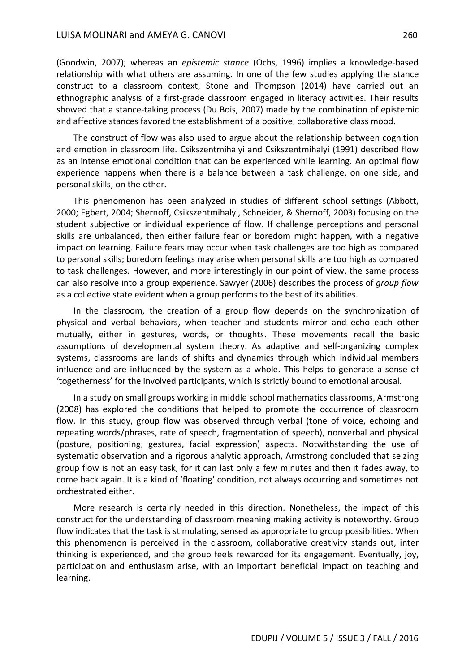#### LUISA MOLINARI and AMEYA G. CANOVI 260

(Goodwin, 2007); whereas an *epistemic stance* (Ochs, 1996) implies a knowledge-based relationship with what others are assuming. In one of the few studies applying the stance construct to a classroom context, Stone and Thompson (2014) have carried out an ethnographic analysis of a first-grade classroom engaged in literacy activities. Their results showed that a stance-taking process (Du Bois, 2007) made by the combination of epistemic and affective stances favored the establishment of a positive, collaborative class mood.

The construct of flow was also used to argue about the relationship between cognition and emotion in classroom life. Csikszentmihalyi and Csikszentmihalyi (1991) described flow as an intense emotional condition that can be experienced while learning. An optimal flow experience happens when there is a balance between a task challenge, on one side, and personal skills, on the other.

This phenomenon has been analyzed in studies of different school settings (Abbott, 2000; Egbert, 2004; Shernoff, Csikszentmihalyi, Schneider, & Shernoff, 2003) focusing on the student subjective or individual experience of flow. If challenge perceptions and personal skills are unbalanced, then either failure fear or boredom might happen, with a negative impact on learning. Failure fears may occur when task challenges are too high as compared to personal skills; boredom feelings may arise when personal skills are too high as compared to task challenges. However, and more interestingly in our point of view, the same process can also resolve into a group experience. Sawyer (2006) describes the process of *group flow* as a collective state evident when a group performs to the best of its abilities.

In the classroom, the creation of a group flow depends on the synchronization of physical and verbal behaviors, when teacher and students mirror and echo each other mutually, either in gestures, words, or thoughts. These movements recall the basic assumptions of developmental system theory. As adaptive and self-organizing complex systems, classrooms are lands of shifts and dynamics through which individual members influence and are influenced by the system as a whole. This helps to generate a sense of 'togetherness' for the involved participants, which is strictly bound to emotional arousal.

In a study on small groups working in middle school mathematics classrooms, Armstrong (2008) has explored the conditions that helped to promote the occurrence of classroom flow. In this study, group flow was observed through verbal (tone of voice, echoing and repeating words/phrases, rate of speech, fragmentation of speech), nonverbal and physical (posture, positioning, gestures, facial expression) aspects. Notwithstanding the use of systematic observation and a rigorous analytic approach, Armstrong concluded that seizing group flow is not an easy task, for it can last only a few minutes and then it fades away, to come back again. It is a kind of 'floating' condition, not always occurring and sometimes not orchestrated either.

More research is certainly needed in this direction. Nonetheless, the impact of this construct for the understanding of classroom meaning making activity is noteworthy. Group flow indicates that the task is stimulating, sensed as appropriate to group possibilities. When this phenomenon is perceived in the classroom, collaborative creativity stands out, inter thinking is experienced, and the group feels rewarded for its engagement. Eventually, joy, participation and enthusiasm arise, with an important beneficial impact on teaching and learning.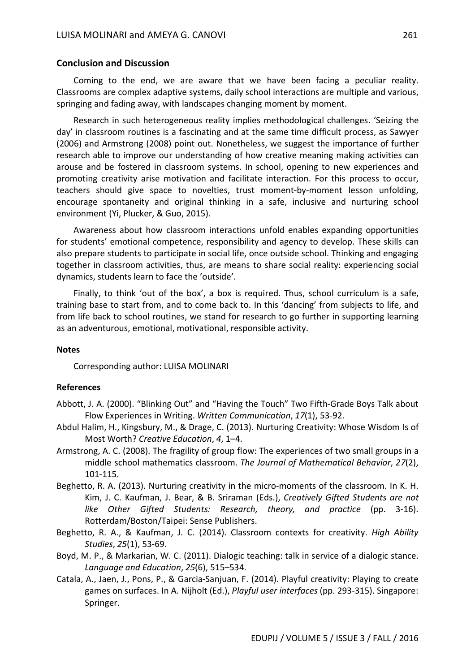#### **Conclusion and Discussion**

Coming to the end, we are aware that we have been facing a peculiar reality. Classrooms are complex adaptive systems, daily school interactions are multiple and various, springing and fading away, with landscapes changing moment by moment.

Research in such heterogeneous reality implies methodological challenges. 'Seizing the day' in classroom routines is a fascinating and at the same time difficult process, as Sawyer (2006) and Armstrong (2008) point out. Nonetheless, we suggest the importance of further research able to improve our understanding of how creative meaning making activities can arouse and be fostered in classroom systems. In school, opening to new experiences and promoting creativity arise motivation and facilitate interaction. For this process to occur, teachers should give space to novelties, trust moment-by-moment lesson unfolding, encourage spontaneity and original thinking in a safe, inclusive and nurturing school environment (Yi, Plucker, & Guo, 2015).

Awareness about how classroom interactions unfold enables expanding opportunities for students' emotional competence, responsibility and agency to develop. These skills can also prepare students to participate in social life, once outside school. Thinking and engaging together in classroom activities, thus, are means to share social reality: experiencing social dynamics, students learn to face the 'outside'.

Finally, to think 'out of the box', a box is required. Thus, school curriculum is a safe, training base to start from, and to come back to. In this 'dancing' from subjects to life, and from life back to school routines, we stand for research to go further in supporting learning as an adventurous, emotional, motivational, responsible activity.

#### **Notes**

Corresponding author: LUISA MOLINARI

#### **References**

- Abbott, J. A. (2000). "Blinking Out" and "Having the Touch" Two Fifth-Grade Boys Talk about Flow Experiences in Writing. *Written Communication*, *17*(1), 53-92.
- Abdul Halim, H., Kingsbury, M., & Drage, C. (2013). Nurturing Creativity: Whose Wisdom Is of Most Worth? *Creative Education*, *4*, 1–4.
- Armstrong, A. C. (2008). The fragility of group flow: The experiences of two small groups in a middle school mathematics classroom. *The Journal of Mathematical Behavior*, *27*(2), 101-115.
- Beghetto, R. A. (2013). Nurturing creativity in the micro-moments of the classroom. In K. H. Kim, J. C. Kaufman, J. Bear, & B. Sriraman (Eds.), *Creatively Gifted Students are not like Other Gifted Students: Research, theory, and practice* (pp. 3-16). Rotterdam/Boston/Taipei: Sense Publishers.
- Beghetto, R. A., & Kaufman, J. C. (2014). Classroom contexts for creativity. *High Ability Studies*, *25*(1), 53-69.
- Boyd, M. P., & Markarian, W. C. (2011). Dialogic teaching: talk in service of a dialogic stance. *Language and Education*, *25*(6), 515–534.
- Catala, A., Jaen, J., Pons, P., & Garcia-Sanjuan, F. (2014). Playful creativity: Playing to create games on surfaces. In A. Nijholt (Ed.), *Playful user interfaces* (pp. 293-315). Singapore: Springer.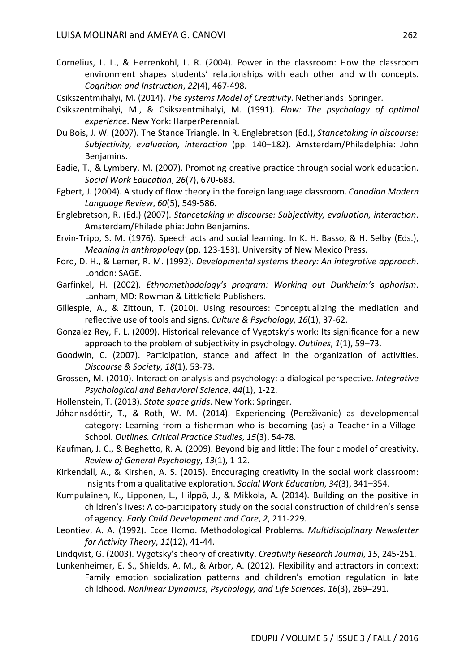Cornelius, L. L., & Herrenkohl, L. R. (2004). Power in the classroom: How the classroom environment shapes students' relationships with each other and with concepts. *Cognition and Instruction*, *22*(4), 467-498.

Csikszentmihalyi, M. (2014). *The systems Model of Creativity*. Netherlands: Springer.

- Csikszentmihalyi, M., & Csikszentmihalyi, M. (1991). *Flow: The psychology of optimal experience*. New York: HarperPerennial.
- Du Bois, J. W. (2007). The Stance Triangle. In R. Englebretson (Ed.), *Stancetaking in discourse: Subjectivity, evaluation, interaction* (pp. 140–182). Amsterdam/Philadelphia: John Benjamins.
- Eadie, T., & Lymbery, M. (2007). Promoting creative practice through social work education. *Social Work Education*, *26*(7), 670-683.
- Egbert, J. (2004). A study of flow theory in the foreign language classroom. *Canadian Modern Language Review*, *60*(5), 549-586.
- Englebretson, R. (Ed.) (2007). *Stancetaking in discourse: Subjectivity, evaluation, interaction*. Amsterdam/Philadelphia: John Benjamins.
- Ervin-Tripp, S. M. (1976). Speech acts and social learning. In K. H. Basso, & H. Selby (Eds.), *Meaning in anthropology* (pp. 123-153). University of New Mexico Press.
- Ford, D. H., & Lerner, R. M. (1992). *Developmental systems theory: An integrative approach*. London: SAGE.
- Garfinkel, H. (2002). *Ethnomethodology's program: Working out Durkheim's aphorism*. Lanham, MD: Rowman & Littlefield Publishers.
- Gillespie, A., & Zittoun, T. (2010). Using resources: Conceptualizing the mediation and reflective use of tools and signs. *Culture & Psychology*, *16*(1), 37-62.
- Gonzalez Rey, F. L. (2009). Historical relevance of Vygotsky's work: Its significance for a new approach to the problem of subjectivity in psychology. *Outlines*, *1*(1), 59–73.
- Goodwin, C. (2007). Participation, stance and affect in the organization of activities. *Discourse & Society*, *18*(1), 53-73.
- Grossen, M. (2010). Interaction analysis and psychology: a dialogical perspective. *Integrative Psychological and Behavioral Science*, *44*(1), 1-22.
- Hollenstein, T. (2013). *State space grids*. New York: Springer.
- Jóhannsdóttir, T., & Roth, W. M. (2014). Experiencing (Pereživanie) as developmental category: Learning from a fisherman who is becoming (as) a Teacher-in-a-Village-School. *Outlines. Critical Practice Studies*, *15*(3), 54-78.
- Kaufman, J. C., & Beghetto, R. A. (2009). Beyond big and little: The four c model of creativity. *Review of General Psychology*, *13*(1), 1-12.
- Kirkendall, A., & Kirshen, A. S. (2015). Encouraging creativity in the social work classroom: Insights from a qualitative exploration. *Social Work Education*, *34*(3), 341–354.
- Kumpulainen, K., Lipponen, L., Hilppö, J., & Mikkola, A. (2014). Building on the positive in children's lives: A co-participatory study on the social construction of children's sense of agency. *Early Child Development and Care*, *2*, 211-229.
- Leontiev, A. A. (1992). Ecce Homo. Methodological Problems. *Multidisciplinary Newsletter for Activity Theory*, *11*(12), 41-44.
- Lindqvist, G. (2003). Vygotsky's theory of creativity. *Creativity Research Journal*, *15*, 245-251.
- Lunkenheimer, E. S., Shields, A. M., & Arbor, A. (2012). Flexibility and attractors in context: Family emotion socialization patterns and children's emotion regulation in late childhood. *Nonlinear Dynamics, Psychology, and Life Sciences*, *16*(3), 269–291.